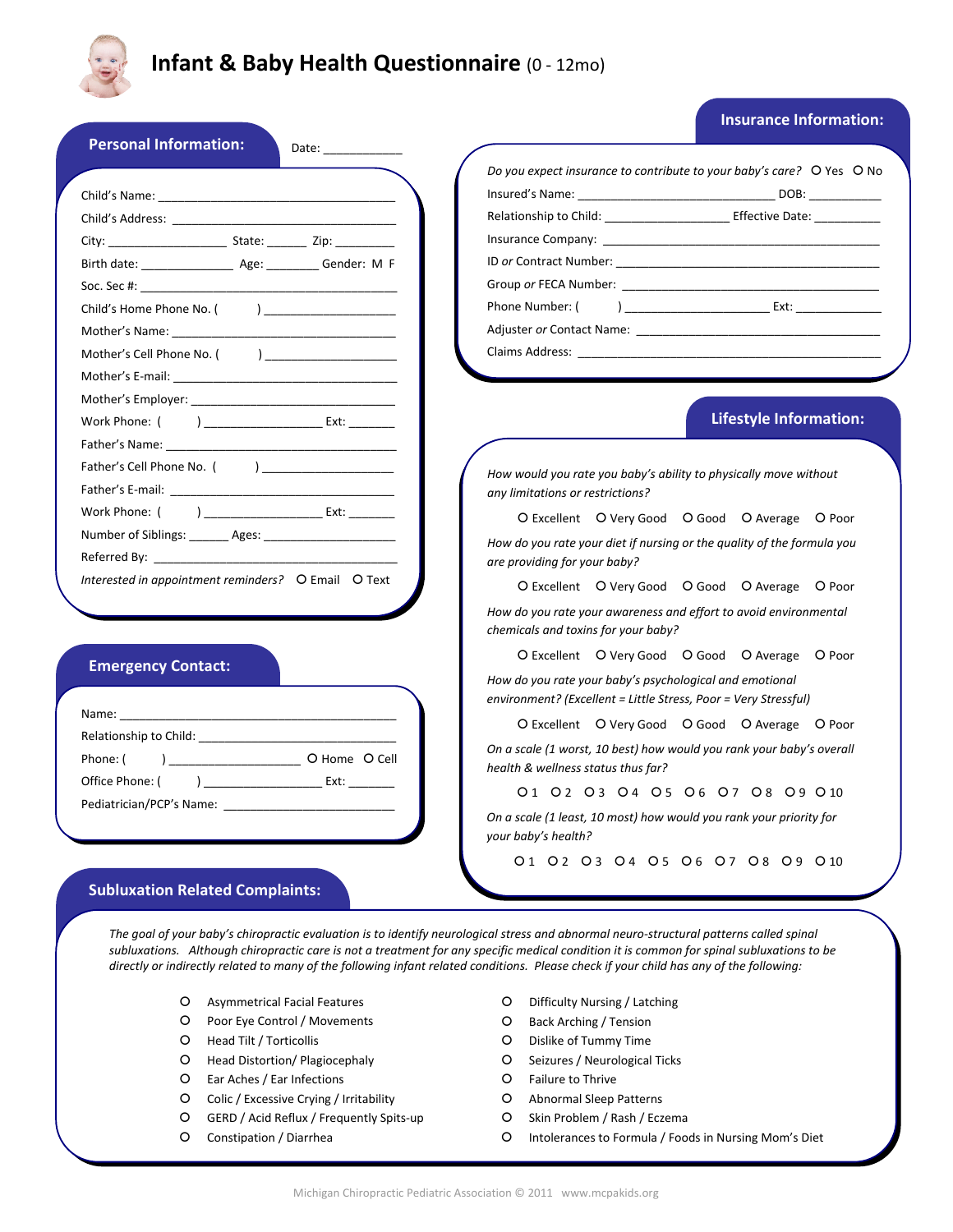

# **Infant & Baby Health Questionnaire** (0 ‐ 12mo)

# **Insurance Information:**

|                                                                                                                                                                                                                                | Do you expect insurance to contribute to your baby's care? O Yes O No                                                                                                                                                                   |
|--------------------------------------------------------------------------------------------------------------------------------------------------------------------------------------------------------------------------------|-----------------------------------------------------------------------------------------------------------------------------------------------------------------------------------------------------------------------------------------|
|                                                                                                                                                                                                                                | Relationship to Child: __________________________ Effective Date: _____________                                                                                                                                                         |
|                                                                                                                                                                                                                                |                                                                                                                                                                                                                                         |
| Birth date: ________________________ Age: ___________ Gender: M F                                                                                                                                                              | ID or Contract Number: No. 2014 12:00:00 12:00:00 12:00:00 12:00:00 12:00:00 12:00:00 12:00:00 12:00:00 12:00                                                                                                                           |
| Soc. Sec #: the second second second second second second second second second second second second second second second second second second second second second second second second second second second second second sec | Group <i>or</i> FECA Number: <b>Example 2</b> and 2 and 2 and 2 and 2 and 2 and 2 and 2 and 2 and 2 and 2 and 2 and 2 and 2 and 2 and 2 and 2 and 2 and 2 and 2 and 2 and 2 and 2 and 2 and 2 and 2 and 2 and 2 and 2 and 2 and 2 and 2 |
| Child's Home Phone No. ( )                                                                                                                                                                                                     | Phone Number: (                                                                                                                                                                                                                         |
|                                                                                                                                                                                                                                |                                                                                                                                                                                                                                         |
| Mother's Cell Phone No. ( )                                                                                                                                                                                                    |                                                                                                                                                                                                                                         |
|                                                                                                                                                                                                                                |                                                                                                                                                                                                                                         |
|                                                                                                                                                                                                                                |                                                                                                                                                                                                                                         |
| Work Phone: ( ) ________________________ Ext: ________                                                                                                                                                                         | <b>Lifestyle Information:</b>                                                                                                                                                                                                           |
|                                                                                                                                                                                                                                |                                                                                                                                                                                                                                         |
|                                                                                                                                                                                                                                | How would you rate you baby's ability to physically move without                                                                                                                                                                        |
|                                                                                                                                                                                                                                | any limitations or restrictions?                                                                                                                                                                                                        |
| Work Phone: ( ) _______________________ Ext: ________                                                                                                                                                                          | O Excellent O Very Good O Good O Average O Poor                                                                                                                                                                                         |
| Number of Siblings: _______ Ages: _________________________                                                                                                                                                                    | How do you rate your diet if nursing or the quality of the formula you                                                                                                                                                                  |
|                                                                                                                                                                                                                                | are providing for your baby?                                                                                                                                                                                                            |
| Interested in appointment reminders? O Email O Text                                                                                                                                                                            | O Excellent O Very Good O Good O Average O Poor                                                                                                                                                                                         |
|                                                                                                                                                                                                                                | How do you rate your awareness and effort to avoid environmental<br>chemicals and toxins for your baby?                                                                                                                                 |
|                                                                                                                                                                                                                                | O Excellent O Very Good O Good O Average O Poor                                                                                                                                                                                         |
| <b>Emergency Contact:</b>                                                                                                                                                                                                      | How do you rate your baby's psychological and emotional<br>environment? (Excellent = Little Stress, Poor = Very Stressful)                                                                                                              |
|                                                                                                                                                                                                                                | O Excellent O Very Good O Good O Average O Poor                                                                                                                                                                                         |
| Relationship to Child:                                                                                                                                                                                                         | On a scale (1 worst, 10 best) how would you rank your baby's overall                                                                                                                                                                    |
| Phone: (                                                                                                                                                                                                                       | health & wellness status thus far?                                                                                                                                                                                                      |
|                                                                                                                                                                                                                                | 01 02 03 04 05 06 07 08 09 010                                                                                                                                                                                                          |
|                                                                                                                                                                                                                                | On a scale (1 least, 10 most) how would you rank your priority for<br>your baby's health?                                                                                                                                               |
|                                                                                                                                                                                                                                |                                                                                                                                                                                                                                         |

The goal of your baby's chiropractic evaluation is to identify neurological stress and abnormal neuro-structural patterns called spinal subluxations. Although chiropractic care is not a treatment for any specific medical condition it is common for spinal subluxations to be directly or indirectly related to many of the following infant related conditions. Please check if your child has any of the following:

- | Asymmetrical Facial Features
- | Poor Eye Control / Movements
- O Head Tilt / Torticollis
- | Head Distortion/ Plagiocephaly
- | Ear Aches / Ear Infections
- O Colic / Excessive Crying / Irritability
- O GERD / Acid Reflux / Frequently Spits-up
- O Constipation / Diarrhea
- | Difficulty Nursing / Latching
- | Back Arching / Tension
- | Dislike of Tummy Time
- O Seizures / Neurological Ticks
- | Failure to Thrive
- O Abnormal Sleep Patterns
- O Skin Problem / Rash / Eczema
- | Intolerances to Formula / Foods in Nursing Mom's Diet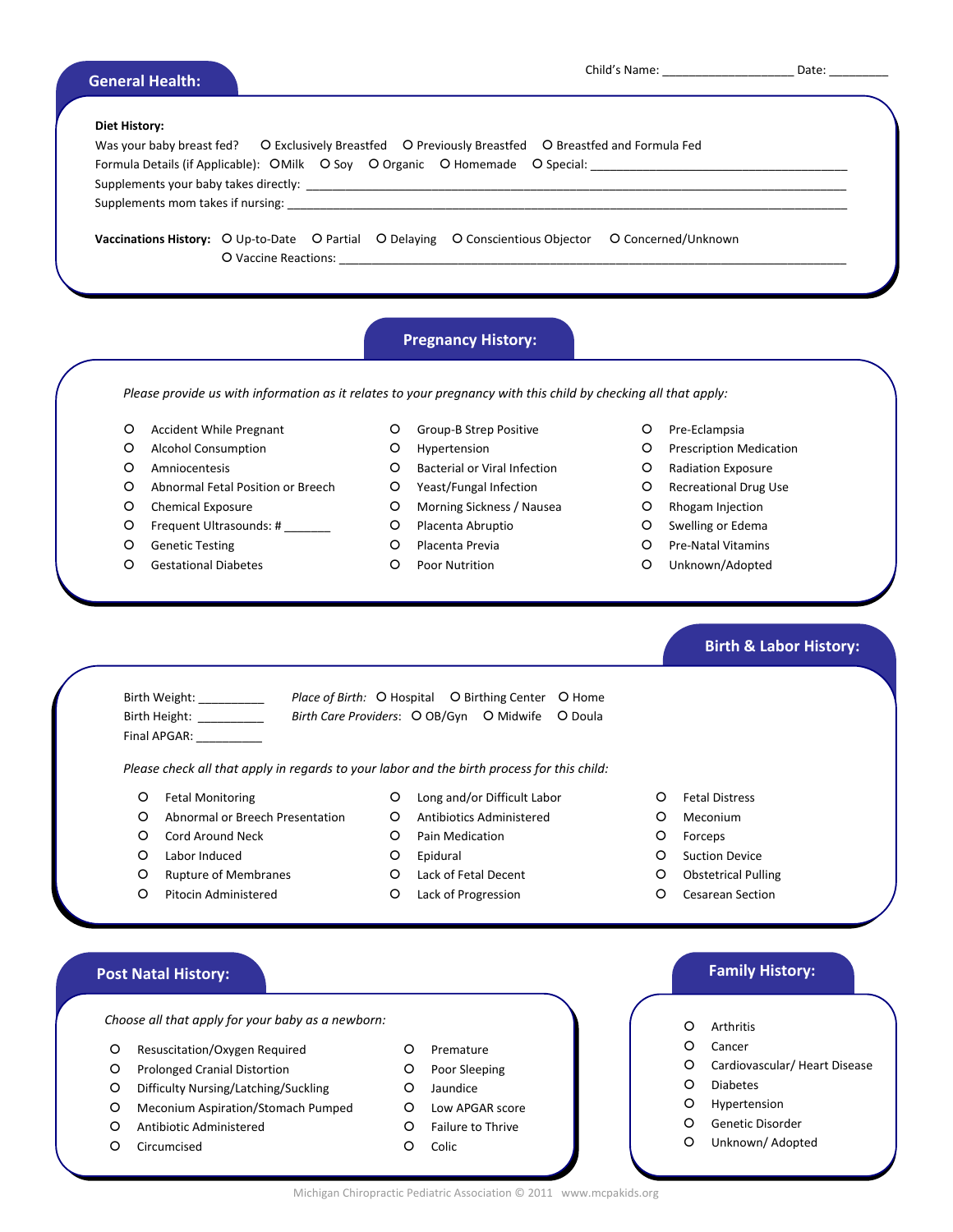| <b>General Health:</b> |  |
|------------------------|--|
|                        |  |
|                        |  |

| Diet History: |                                                                                                                                                                                                                                |
|---------------|--------------------------------------------------------------------------------------------------------------------------------------------------------------------------------------------------------------------------------|
|               | Was your baby breast fed? O Exclusively Breastfed O Previously Breastfed O Breastfed and Formula Fed                                                                                                                           |
|               | Formula Details (if Applicable): OMilk O Soy O Organic O Homemade O Special: _______________________                                                                                                                           |
|               |                                                                                                                                                                                                                                |
|               | Supplements mom takes if nursing: example and a series of the state of the state of the state of the state of the state of the state of the state of the state of the state of the state of the state of the state of the stat |
|               |                                                                                                                                                                                                                                |
|               | <b>Vaccinations History:</b> O Up-to-Date O Partial O Delaying O Conscientious Objector<br>O Concerned/Unknown                                                                                                                 |
|               | O Vaccine Reactions: New York Contract to the Second Second Second Second Second Second Second Second Second Second Second Second Second Second Second Second Second Second Second Second Second Second Second Second Second S |

# **Pregnancy History:**

Please provide us with information as it relates to your pregnancy with this child by checking all that apply:

- O Accident While Pregnant
- | Alcohol Consumption
- O Amniocentesis
- | Abnormal Fetal Position or Breech
- O Chemical Exposure
- O Frequent Ultrasounds: # \_\_\_\_\_\_\_
- | Genetic Testing
- | Gestational Diabetes
- O Group-B Strep Positive
- O Hypertension
- O Bacterial or Viral Infection
- | Yeast/Fungal Infection
- O Morning Sickness / Nausea
- | Placenta Abruptio
- O Placenta Previa
- O Poor Nutrition
- O Pre-Eclampsia
- O Prescription Medication
- | Radiation Exposure
- O Recreational Drug Use
- O Rhogam Injection
- O Swelling or Edema
- O Pre-Natal Vitamins
- O Unknown/Adopted

- Final APGAR:
- Birth Weight: *Place of Birth:* O Hospital O Birthing Center O Home Birth Height: \_\_\_\_\_\_\_\_\_\_\_ Birth Care Providers: O OB/Gyn O Midwife O Doula

*Please check all that apply in regards to your labor and the birth process for this child:*

| Fetal Monitoring

- | Long and/or Difficult Labor O Antibiotics Administered
- | Abnormal or Breech Presentation
- O Cord Around Neck | Labor Induced
- O Pain Medication | Epidural
- 
- | Rupture of Membranes O Pitocin Administered
- | Lack of Fetal Decent
	- | Lack of Progression
- | Fetal Distress
- O Meconium
- | Forceps
- O Suction Device
- O Obstetrical Pulling
- O Cesarean Section

*Choose all* that *apply* for your baby as a newborn:  $\begin{pmatrix} 0 & 0 \end{pmatrix}$  Arthritis

- O Resuscitation/Oxygen Required
- O Prolonged Cranial Distortion
- | Difficulty Nursing/Latching/Suckling
- | Meconium Aspiration/Stomach Pumped
- O Antibiotic Administered
- O Circumcised
- O Premature
- O Poor Sleeping
- O Jaundice
- O Low APGAR score
- | Failure to Thrive

O Colic

# **Post Natal History: Family History:**

 **Birth & Labor History:**

- 
- O Cancer
- O Cardiovascular/ Heart Disease
- | Diabetes
- O Hypertension
- O Genetic Disorder
- O Unknown/ Adopted